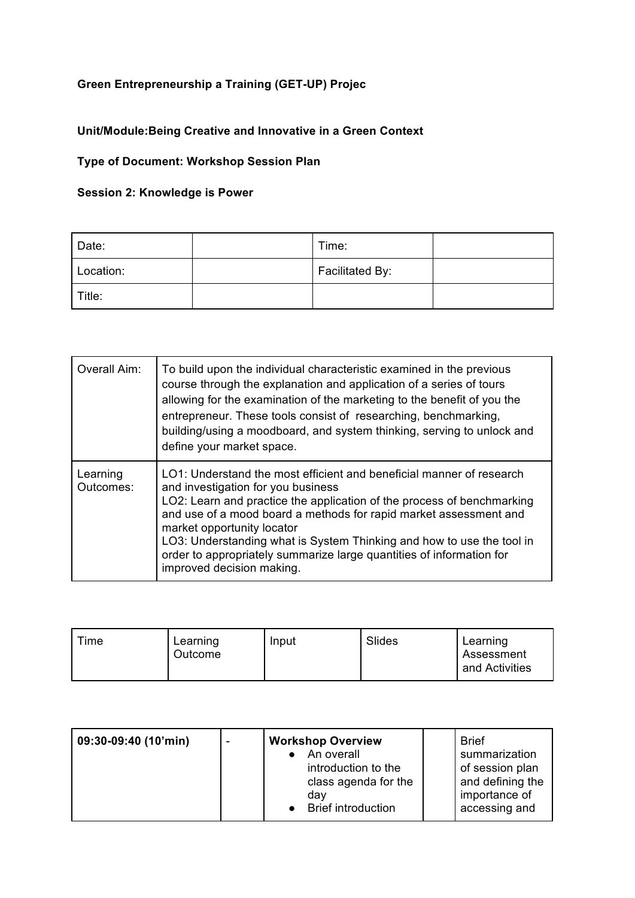## **Green Entrepreneurship a Training (GET-UP) Projec**

## **Unit/Module:Being Creative and Innovative in a Green Context**

## **Type of Document: Workshop Session Plan**

## **Session 2: Knowledge is Power**

| Date:     | Time:           |  |
|-----------|-----------------|--|
| Location: | Facilitated By: |  |
| Title:    |                 |  |

| Overall Aim:          | To build upon the individual characteristic examined in the previous<br>course through the explanation and application of a series of tours<br>allowing for the examination of the marketing to the benefit of you the<br>entrepreneur. These tools consist of researching, benchmarking,<br>building/using a moodboard, and system thinking, serving to unlock and<br>define your market space.                                                                      |
|-----------------------|-----------------------------------------------------------------------------------------------------------------------------------------------------------------------------------------------------------------------------------------------------------------------------------------------------------------------------------------------------------------------------------------------------------------------------------------------------------------------|
| Learning<br>Outcomes: | LO1: Understand the most efficient and beneficial manner of research<br>and investigation for you business<br>LO2: Learn and practice the application of the process of benchmarking<br>and use of a mood board a methods for rapid market assessment and<br>market opportunity locator<br>LO3: Understanding what is System Thinking and how to use the tool in<br>order to appropriately summarize large quantities of information for<br>improved decision making. |

| Time | Learning<br>Outcome | Input | Slides | Learning<br>Assessment<br>and Activities |
|------|---------------------|-------|--------|------------------------------------------|
|------|---------------------|-------|--------|------------------------------------------|

| 09:30-09:40 (10'min) | <b>Workshop Overview</b>                                                                      | <b>Brief</b>                                                                           |
|----------------------|-----------------------------------------------------------------------------------------------|----------------------------------------------------------------------------------------|
|                      | An overall<br>introduction to the<br>class agenda for the<br>dav<br><b>Brief introduction</b> | summarization<br>of session plan<br>and defining the<br>importance of<br>accessing and |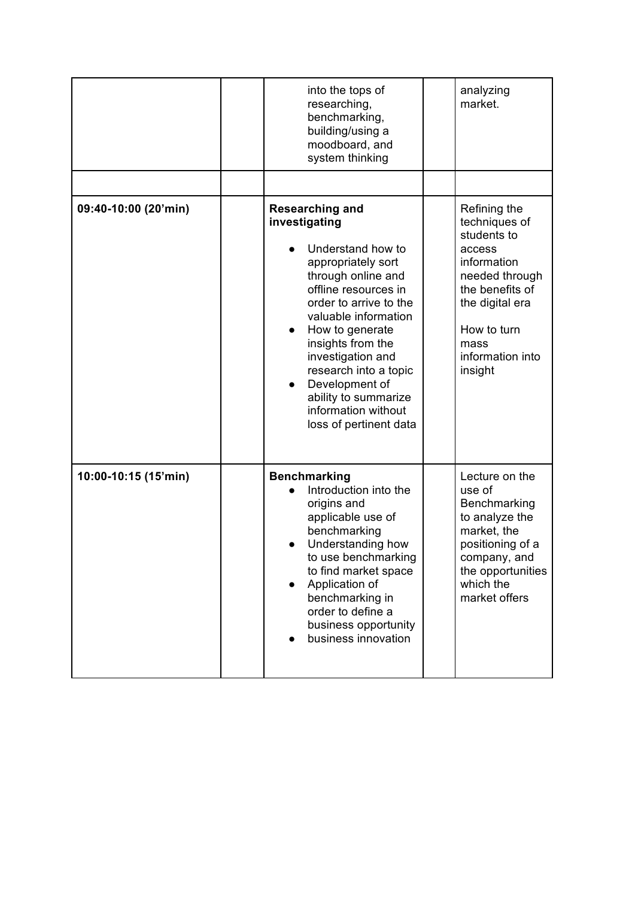|                      | into the tops of<br>researching,<br>benchmarking,<br>building/using a<br>moodboard, and<br>system thinking                                                                                                                                                                                                                                                                       | analyzing<br>market.                                                                                                                                                                |
|----------------------|----------------------------------------------------------------------------------------------------------------------------------------------------------------------------------------------------------------------------------------------------------------------------------------------------------------------------------------------------------------------------------|-------------------------------------------------------------------------------------------------------------------------------------------------------------------------------------|
| 09:40-10:00 (20'min) | <b>Researching and</b><br>investigating<br>Understand how to<br>appropriately sort<br>through online and<br>offline resources in<br>order to arrive to the<br>valuable information<br>How to generate<br>insights from the<br>investigation and<br>research into a topic<br>Development of<br>$\bullet$<br>ability to summarize<br>information without<br>loss of pertinent data | Refining the<br>techniques of<br>students to<br>access<br>information<br>needed through<br>the benefits of<br>the digital era<br>How to turn<br>mass<br>information into<br>insight |
| 10:00-10:15 (15'min) | <b>Benchmarking</b><br>Introduction into the<br>origins and<br>applicable use of<br>benchmarking<br>Understanding how<br>to use benchmarking<br>to find market space<br>Application of<br>benchmarking in<br>order to define a<br>business opportunity<br>business innovation                                                                                                    | Lecture on the<br>use of<br>Benchmarking<br>to analyze the<br>market, the<br>positioning of a<br>company, and<br>the opportunities<br>which the<br>market offers                    |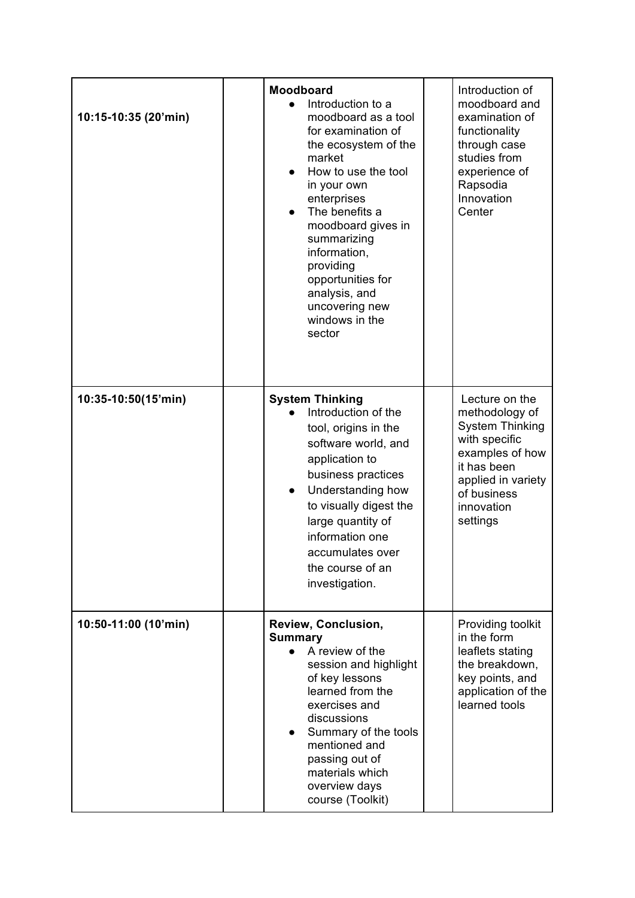| 10:15-10:35 (20'min) | Moodboard<br>Introduction to a<br>moodboard as a tool<br>for examination of<br>the ecosystem of the<br>market<br>How to use the tool<br>in your own<br>enterprises<br>The benefits a<br>$\bullet$<br>moodboard gives in<br>summarizing<br>information,<br>providing<br>opportunities for<br>analysis, and<br>uncovering new<br>windows in the<br>sector | Introduction of<br>moodboard and<br>examination of<br>functionality<br>through case<br>studies from<br>experience of<br>Rapsodia<br>Innovation<br>Center                     |
|----------------------|---------------------------------------------------------------------------------------------------------------------------------------------------------------------------------------------------------------------------------------------------------------------------------------------------------------------------------------------------------|------------------------------------------------------------------------------------------------------------------------------------------------------------------------------|
| 10:35-10:50(15'min)  | <b>System Thinking</b><br>Introduction of the<br>tool, origins in the<br>software world, and<br>application to<br>business practices<br>Understanding how<br>$\bullet$<br>to visually digest the<br>large quantity of<br>information one<br>accumulates over<br>the course of an<br>investigation.                                                      | Lecture on the<br>methodology of<br><b>System Thinking</b><br>with specific<br>examples of how<br>it has been<br>applied in variety<br>of business<br>innovation<br>settings |
| 10:50-11:00 (10'min) | Review, Conclusion,<br><b>Summary</b><br>A review of the<br>session and highlight<br>of key lessons<br>learned from the<br>exercises and<br>discussions<br>Summary of the tools<br>mentioned and<br>passing out of<br>materials which<br>overview days<br>course (Toolkit)                                                                              | Providing toolkit<br>in the form<br>leaflets stating<br>the breakdown,<br>key points, and<br>application of the<br>learned tools                                             |